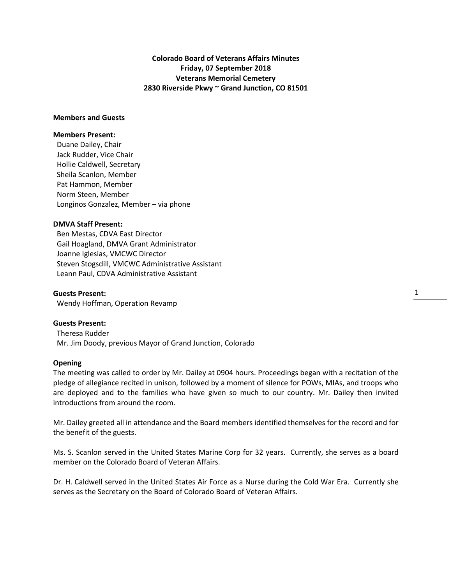**Colorado Board of Veterans Affairs Minutes Friday, 07 September 2018 Veterans Memorial Cemetery 2830 Riverside Pkwy ~ Grand Junction, CO 81501**

# **Members and Guests**

## **Members Present:**

Duane Dailey, Chair Jack Rudder, Vice Chair Hollie Caldwell, Secretary Sheila Scanlon, Member Pat Hammon, Member Norm Steen, Member Longinos Gonzalez, Member – via phone

### **DMVA Staff Present:**

 Ben Mestas, CDVA East Director Gail Hoagland, DMVA Grant Administrator Joanne Iglesias, VMCWC Director Steven Stogsdill, VMCWC Administrative Assistant Leann Paul, CDVA Administrative Assistant

**Guests Present:** Wendy Hoffman, Operation Revamp

## **Guests Present:**

 Theresa Rudder Mr. Jim Doody, previous Mayor of Grand Junction, Colorado

### **Opening**

The meeting was called to order by Mr. Dailey at 0904 hours. Proceedings began with a recitation of the pledge of allegiance recited in unison, followed by a moment of silence for POWs, MIAs, and troops who are deployed and to the families who have given so much to our country. Mr. Dailey then invited introductions from around the room.

Mr. Dailey greeted all in attendance and the Board members identified themselves for the record and for the benefit of the guests.

Ms. S. Scanlon served in the United States Marine Corp for 32 years. Currently, she serves as a board member on the Colorado Board of Veteran Affairs.

Dr. H. Caldwell served in the United States Air Force as a Nurse during the Cold War Era. Currently she serves as the Secretary on the Board of Colorado Board of Veteran Affairs.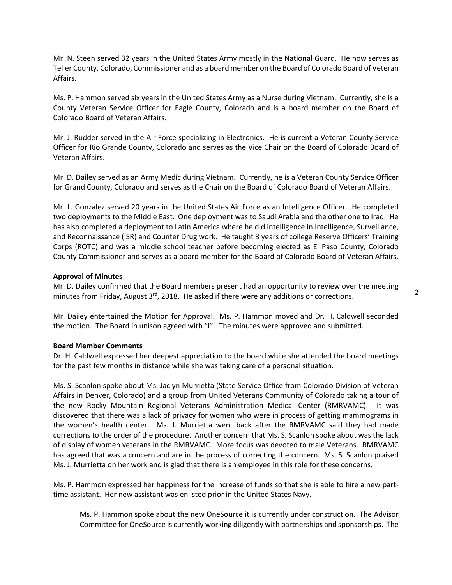Mr. N. Steen served 32 years in the United States Army mostly in the National Guard. He now serves as Teller County, Colorado, Commissioner and as a board member on the Board of Colorado Board of Veteran Affairs.

Ms. P. Hammon served six years in the United States Army as a Nurse during Vietnam. Currently, she is a County Veteran Service Officer for Eagle County, Colorado and is a board member on the Board of Colorado Board of Veteran Affairs.

Mr. J. Rudder served in the Air Force specializing in Electronics. He is current a Veteran County Service Officer for Rio Grande County, Colorado and serves as the Vice Chair on the Board of Colorado Board of Veteran Affairs.

Mr. D. Dailey served as an Army Medic during Vietnam. Currently, he is a Veteran County Service Officer for Grand County, Colorado and serves as the Chair on the Board of Colorado Board of Veteran Affairs.

Mr. L. Gonzalez served 20 years in the United States Air Force as an Intelligence Officer. He completed two deployments to the Middle East. One deployment was to Saudi Arabia and the other one to Iraq. He has also completed a deployment to Latin America where he did intelligence in Intelligence, Surveillance, and Reconnaissance (ISR) and Counter Drug work. He taught 3 years of college Reserve Officers' Training Corps (ROTC) and was a middle school teacher before becoming elected as El Paso County, Colorado County Commissioner and serves as a board member for the Board of Colorado Board of Veteran Affairs.

## **Approval of Minutes**

Mr. D. Dailey confirmed that the Board members present had an opportunity to review over the meeting minutes from Friday, August 3<sup>rd</sup>, 2018. He asked if there were any additions or corrections.

Mr. Dailey entertained the Motion for Approval. Ms. P. Hammon moved and Dr. H. Caldwell seconded the motion. The Board in unison agreed with "I". The minutes were approved and submitted.

## **Board Member Comments**

Dr. H. Caldwell expressed her deepest appreciation to the board while she attended the board meetings for the past few months in distance while she was taking care of a personal situation.

Ms. S. Scanlon spoke about Ms. Jaclyn Murrietta (State Service Office from Colorado Division of Veteran Affairs in Denver, Colorado) and a group from United Veterans Community of Colorado taking a tour of the new Rocky Mountain Regional Veterans Administration Medical Center (RMRVAMC). It was discovered that there was a lack of privacy for women who were in process of getting mammograms in the women's health center. Ms. J. Murrietta went back after the RMRVAMC said they had made corrections to the order of the procedure. Another concern that Ms. S. Scanlon spoke about was the lack of display of women veterans in the RMRVAMC. More focus was devoted to male Veterans. RMRVAMC has agreed that was a concern and are in the process of correcting the concern. Ms. S. Scanlon praised Ms. J. Murrietta on her work and is glad that there is an employee in this role for these concerns.

Ms. P. Hammon expressed her happiness for the increase of funds so that she is able to hire a new parttime assistant. Her new assistant was enlisted prior in the United States Navy.

Ms. P. Hammon spoke about the new OneSource it is currently under construction. The Advisor Committee for OneSource is currently working diligently with partnerships and sponsorships. The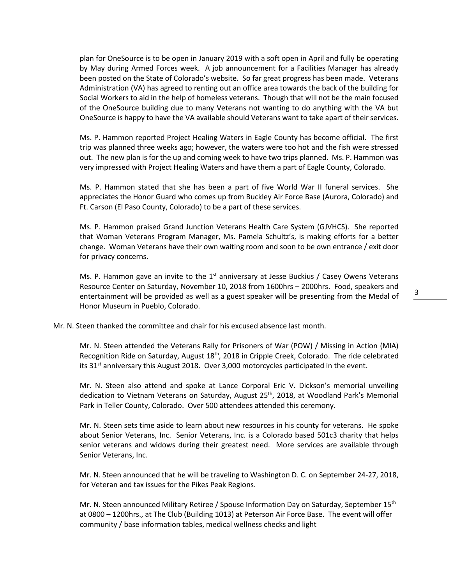plan for OneSource is to be open in January 2019 with a soft open in April and fully be operating by May during Armed Forces week. A job announcement for a Facilities Manager has already been posted on the State of Colorado's website. So far great progress has been made. Veterans Administration (VA) has agreed to renting out an office area towards the back of the building for Social Workers to aid in the help of homeless veterans. Though that will not be the main focused of the OneSource building due to many Veterans not wanting to do anything with the VA but OneSource is happy to have the VA available should Veterans want to take apart of their services.

Ms. P. Hammon reported Project Healing Waters in Eagle County has become official. The first trip was planned three weeks ago; however, the waters were too hot and the fish were stressed out. The new plan is for the up and coming week to have two trips planned. Ms. P. Hammon was very impressed with Project Healing Waters and have them a part of Eagle County, Colorado.

Ms. P. Hammon stated that she has been a part of five World War II funeral services. She appreciates the Honor Guard who comes up from Buckley Air Force Base (Aurora, Colorado) and Ft. Carson (El Paso County, Colorado) to be a part of these services.

Ms. P. Hammon praised Grand Junction Veterans Health Care System (GJVHCS). She reported that Woman Veterans Program Manager, Ms. Pamela Schultz's, is making efforts for a better change. Woman Veterans have their own waiting room and soon to be own entrance / exit door for privacy concerns.

Ms. P. Hammon gave an invite to the  $1<sup>st</sup>$  anniversary at Jesse Buckius / Casey Owens Veterans Resource Center on Saturday, November 10, 2018 from 1600hrs – 2000hrs. Food, speakers and entertainment will be provided as well as a guest speaker will be presenting from the Medal of Honor Museum in Pueblo, Colorado.

Mr. N. Steen thanked the committee and chair for his excused absence last month.

Mr. N. Steen attended the Veterans Rally for Prisoners of War (POW) / Missing in Action (MIA) Recognition Ride on Saturday, August 18<sup>th</sup>, 2018 in Cripple Creek, Colorado. The ride celebrated its  $31<sup>st</sup>$  anniversary this August 2018. Over 3,000 motorcycles participated in the event.

Mr. N. Steen also attend and spoke at Lance Corporal Eric V. Dickson's memorial unveiling dedication to Vietnam Veterans on Saturday, August 25<sup>th</sup>, 2018, at Woodland Park's Memorial Park in Teller County, Colorado. Over 500 attendees attended this ceremony.

Mr. N. Steen sets time aside to learn about new resources in his county for veterans. He spoke about Senior Veterans, Inc. Senior Veterans, Inc. is a Colorado based 501c3 charity that helps senior veterans and widows during their greatest need. More services are available through Senior Veterans, Inc.

Mr. N. Steen announced that he will be traveling to Washington D. C. on September 24-27, 2018, for Veteran and tax issues for the Pikes Peak Regions.

Mr. N. Steen announced Military Retiree / Spouse Information Day on Saturday, September 15th at 0800 – 1200hrs., at The Club (Building 1013) at Peterson Air Force Base. The event will offer community / base information tables, medical wellness checks and light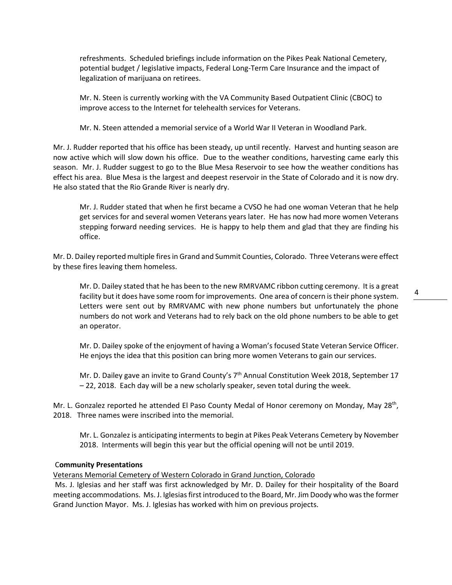refreshments. Scheduled briefings include information on the Pikes Peak National Cemetery, potential budget / legislative impacts, Federal Long-Term Care Insurance and the impact of legalization of marijuana on retirees.

Mr. N. Steen is currently working with the VA Community Based Outpatient Clinic (CBOC) to improve access to the Internet for telehealth services for Veterans.

Mr. N. Steen attended a memorial service of a World War II Veteran in Woodland Park.

Mr. J. Rudder reported that his office has been steady, up until recently. Harvest and hunting season are now active which will slow down his office. Due to the weather conditions, harvesting came early this season. Mr. J. Rudder suggest to go to the Blue Mesa Reservoir to see how the weather conditions has effect his area. Blue Mesa is the largest and deepest reservoir in the State of Colorado and it is now dry. He also stated that the Rio Grande River is nearly dry.

Mr. J. Rudder stated that when he first became a CVSO he had one woman Veteran that he help get services for and several women Veterans years later. He has now had more women Veterans stepping forward needing services. He is happy to help them and glad that they are finding his office.

Mr. D. Dailey reported multiple fires in Grand and Summit Counties, Colorado. Three Veterans were effect by these fires leaving them homeless.

Mr. D. Dailey stated that he has been to the new RMRVAMC ribbon cutting ceremony. It is a great facility but it does have some room for improvements. One area of concern is their phone system. Letters were sent out by RMRVAMC with new phone numbers but unfortunately the phone numbers do not work and Veterans had to rely back on the old phone numbers to be able to get an operator.

Mr. D. Dailey spoke of the enjoyment of having a Woman's focused State Veteran Service Officer. He enjoys the idea that this position can bring more women Veterans to gain our services.

Mr. D. Dailey gave an invite to Grand County's  $7<sup>th</sup>$  Annual Constitution Week 2018, September 17 – 22, 2018. Each day will be a new scholarly speaker, seven total during the week.

Mr. L. Gonzalez reported he attended El Paso County Medal of Honor ceremony on Monday, May 28<sup>th</sup>, 2018. Three names were inscribed into the memorial.

Mr. L. Gonzalez is anticipating interments to begin at Pikes Peak Veterans Cemetery by November 2018. Interments will begin this year but the official opening will not be until 2019.

## C**ommunity Presentations**

Veterans Memorial Cemetery of Western Colorado in Grand Junction, Colorado

Ms. J. Iglesias and her staff was first acknowledged by Mr. D. Dailey for their hospitality of the Board meeting accommodations. Ms. J. Iglesias first introduced to the Board, Mr. Jim Doody who was the former Grand Junction Mayor. Ms. J. Iglesias has worked with him on previous projects.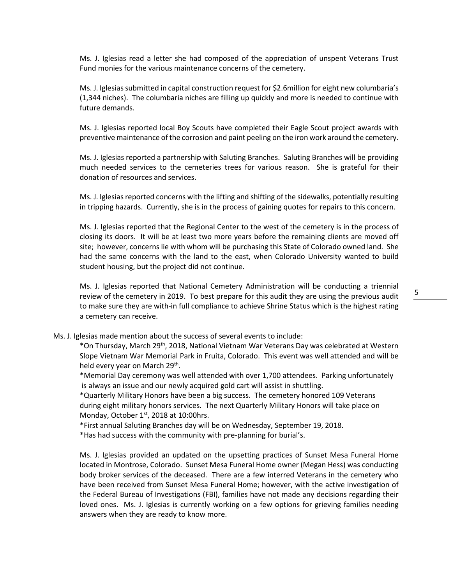Ms. J. Iglesias read a letter she had composed of the appreciation of unspent Veterans Trust Fund monies for the various maintenance concerns of the cemetery.

Ms. J. Iglesias submitted in capital construction request for \$2.6million for eight new columbaria's (1,344 niches). The columbaria niches are filling up quickly and more is needed to continue with future demands.

Ms. J. Iglesias reported local Boy Scouts have completed their Eagle Scout project awards with preventive maintenance of the corrosion and paint peeling on the iron work around the cemetery.

Ms. J. Iglesias reported a partnership with Saluting Branches. Saluting Branches will be providing much needed services to the cemeteries trees for various reason. She is grateful for their donation of resources and services.

Ms. J. Iglesias reported concerns with the lifting and shifting of the sidewalks, potentially resulting in tripping hazards. Currently, she is in the process of gaining quotes for repairs to this concern.

Ms. J. Iglesias reported that the Regional Center to the west of the cemetery is in the process of closing its doors. It will be at least two more years before the remaining clients are moved off site; however, concerns lie with whom will be purchasing this State of Colorado owned land. She had the same concerns with the land to the east, when Colorado University wanted to build student housing, but the project did not continue.

Ms. J. Iglesias reported that National Cemetery Administration will be conducting a triennial review of the cemetery in 2019. To best prepare for this audit they are using the previous audit to make sure they are with-in full compliance to achieve Shrine Status which is the highest rating a cemetery can receive.

Ms. J. Iglesias made mention about the success of several events to include:

\*On Thursday, March 29th, 2018, National Vietnam War Veterans Day was celebrated at Western Slope Vietnam War Memorial Park in Fruita, Colorado. This event was well attended and will be held every year on March 29<sup>th</sup>.

\*Memorial Day ceremony was well attended with over 1,700 attendees. Parking unfortunately is always an issue and our newly acquired gold cart will assist in shuttling.

\*Quarterly Military Honors have been a big success. The cemetery honored 109 Veterans during eight military honors services. The next Quarterly Military Honors will take place on Monday, October  $1<sup>st</sup>$ , 2018 at 10:00hrs.

\*First annual Saluting Branches day will be on Wednesday, September 19, 2018.

\*Has had success with the community with pre-planning for burial's.

Ms. J. Iglesias provided an updated on the upsetting practices of Sunset Mesa Funeral Home located in Montrose, Colorado. Sunset Mesa Funeral Home owner (Megan Hess) was conducting body broker services of the deceased. There are a few interred Veterans in the cemetery who have been received from Sunset Mesa Funeral Home; however, with the active investigation of the Federal Bureau of Investigations (FBI), families have not made any decisions regarding their loved ones. Ms. J. Iglesias is currently working on a few options for grieving families needing answers when they are ready to know more.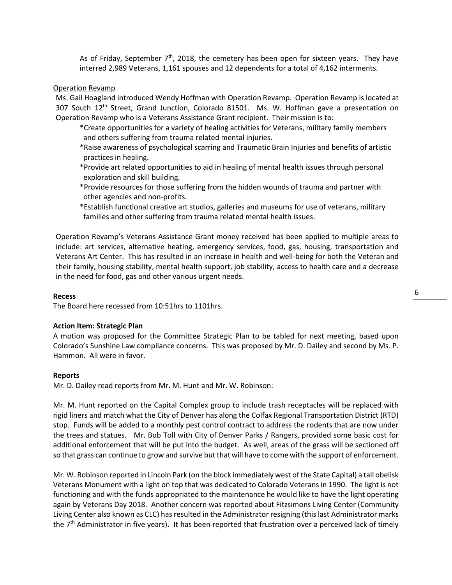As of Friday, September  $7<sup>th</sup>$ , 2018, the cemetery has been open for sixteen years. They have interred 2,989 Veterans, 1,161 spouses and 12 dependents for a total of 4,162 interments.

### Operation Revamp

Ms. Gail Hoagland introduced Wendy Hoffman with Operation Revamp. Operation Revamp is located at 307 South  $12<sup>th</sup>$  Street, Grand Junction, Colorado 81501. Ms. W. Hoffman gave a presentation on Operation Revamp who is a Veterans Assistance Grant recipient. Their mission is to:

- \*Create opportunities for a variety of healing activities for Veterans, military family members and others suffering from trauma related mental injuries.
- \*Raise awareness of psychological scarring and Traumatic Brain Injuries and benefits of artistic practices in healing.
- \*Provide art related opportunities to aid in healing of mental health issues through personal exploration and skill building.
- \*Provide resources for those suffering from the hidden wounds of trauma and partner with other agencies and non-profits.
- \*Establish functional creative art studios, galleries and museums for use of veterans, military families and other suffering from trauma related mental health issues.

Operation Revamp's Veterans Assistance Grant money received has been applied to multiple areas to include: art services, alternative heating, emergency services, food, gas, housing, transportation and Veterans Art Center. This has resulted in an increase in health and well-being for both the Veteran and their family, housing stability, mental health support, job stability, access to health care and a decrease in the need for food, gas and other various urgent needs.

#### **Recess**

The Board here recessed from 10:51hrs to 1101hrs.

### **Action Item: Strategic Plan**

A motion was proposed for the Committee Strategic Plan to be tabled for next meeting, based upon Colorado's Sunshine Law compliance concerns. This was proposed by Mr. D. Dailey and second by Ms. P. Hammon. All were in favor.

#### **Reports**

Mr. D. Dailey read reports from Mr. M. Hunt and Mr. W. Robinson:

Mr. M. Hunt reported on the Capital Complex group to include trash receptacles will be replaced with rigid liners and match what the City of Denver has along the Colfax Regional Transportation District (RTD) stop. Funds will be added to a monthly pest control contract to address the rodents that are now under the trees and statues. Mr. Bob Toll with City of Denver Parks / Rangers, provided some basic cost for additional enforcement that will be put into the budget. As well, areas of the grass will be sectioned off so that grass can continue to grow and survive but that will have to come with the support of enforcement.

Mr. W. Robinson reported in Lincoln Park (on the block immediately west of the State Capital) a tall obelisk Veterans Monument with a light on top that was dedicated to Colorado Veterans in 1990. The light is not functioning and with the funds appropriated to the maintenance he would like to have the light operating again by Veterans Day 2018. Another concern was reported about Fitzsimons Living Center (Community Living Center also known as CLC) has resulted in the Administrator resigning (this last Administrator marks the  $7<sup>th</sup>$  Administrator in five years). It has been reported that frustration over a perceived lack of timely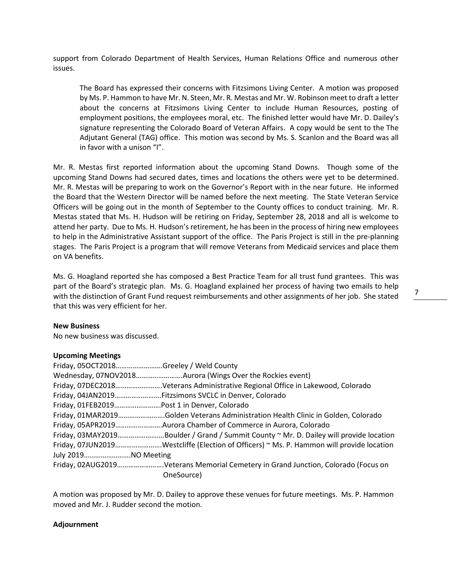support from Colorado Department of Health Services, Human Relations Office and numerous other issues.

The Board has expressed their concerns with Fitzsimons Living Center. A motion was proposed by Ms. P. Hammon to have Mr. N. Steen, Mr. R. Mestas and Mr. W. Robinson meet to draft a letter about the concerns at Fitzsimons Living Center to include Human Resources, posting of employment positions, the employees moral, etc. The finished letter would have Mr. D. Dailey's signature representing the Colorado Board of Veteran Affairs. A copy would be sent to the The Adjutant General (TAG) office. This motion was second by Ms. S. Scanlon and the Board was all in favor with a unison "I".

Mr. R. Mestas first reported information about the upcoming Stand Downs. Though some of the upcoming Stand Downs had secured dates, times and locations the others were yet to be determined. Mr. R. Mestas will be preparing to work on the Governor's Report with in the near future. He informed the Board that the Western Director will be named before the next meeting. The State Veteran Service Officers will be going out in the month of September to the County offices to conduct training. Mr. R. Mestas stated that Ms. H. Hudson will be retiring on Friday, September 28, 2018 and all is welcome to attend her party. Due to Ms. H. Hudson's retirement, he has been in the process of hiring new employees to help in the Administrative Assistant support of the office. The Paris Project is still in the pre-planning stages. The Paris Project is a program that will remove Veterans from Medicaid services and place them on VA benefits.

Ms. G. Hoagland reported she has composed a Best Practice Team for all trust fund grantees. This was part of the Board's strategic plan. Ms. G. Hoagland explained her process of having two emails to help with the distinction of Grant Fund request reimbursements and other assignments of her job. She stated that this was very efficient for her.

### **New Business**

No new business was discussed.

### **Upcoming Meetings**

|                     | Friday, 05OCT2018Greeley / Weld County                                                   |
|---------------------|------------------------------------------------------------------------------------------|
|                     | Wednesday, 07NOV2018Aurora (Wings Over the Rockies event)                                |
|                     | Friday, 07DEC2018Veterans Administrative Regional Office in Lakewood, Colorado           |
|                     | Friday, 04JAN2019Fitzsimons SVCLC in Denver, Colorado                                    |
|                     |                                                                                          |
|                     | Friday, 01MAR2019Golden Veterans Administration Health Clinic in Golden, Colorado        |
|                     | Friday, 05APR2019Aurora Chamber of Commerce in Aurora, Colorado                          |
|                     | Friday, 03MAY2019Boulder / Grand / Summit County ~ Mr. D. Dailey will provide location   |
|                     | Friday, 07JUN2019Westcliffe (Election of Officers) ~ Ms. P. Hammon will provide location |
| July 2019NO Meeting |                                                                                          |
|                     | Friday, 02AUG2019Veterans Memorial Cemetery in Grand Junction, Colorado (Focus on        |
|                     | OneSource)                                                                               |

A motion was proposed by Mr. D. Dailey to approve these venues for future meetings. Ms. P. Hammon moved and Mr. J. Rudder second the motion.

### **Adjournment**

7